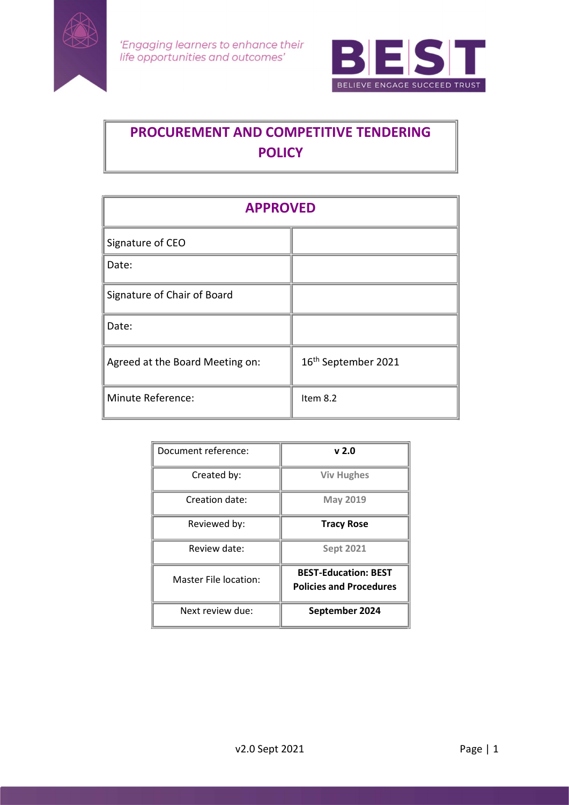



# PROCUREMENT AND COMPETITIVE TENDERING **POLICY**

| <b>APPROVED</b>                 |                                 |  |
|---------------------------------|---------------------------------|--|
| Signature of CEO                |                                 |  |
| Date:                           |                                 |  |
| Signature of Chair of Board     |                                 |  |
| Date:                           |                                 |  |
| Agreed at the Board Meeting on: | 16 <sup>th</sup> September 2021 |  |
| Minute Reference:               | Item 8.2                        |  |

| Document reference:   | v 2.0                                                         |
|-----------------------|---------------------------------------------------------------|
| Created by:           | <b>Viv Hughes</b>                                             |
| Creation date:        | <b>May 2019</b>                                               |
| Reviewed by:          | <b>Tracy Rose</b>                                             |
| Review date:          | <b>Sept 2021</b>                                              |
| Master File location: | <b>BEST-Education: BEST</b><br><b>Policies and Procedures</b> |
| Next review due:      | September 2024                                                |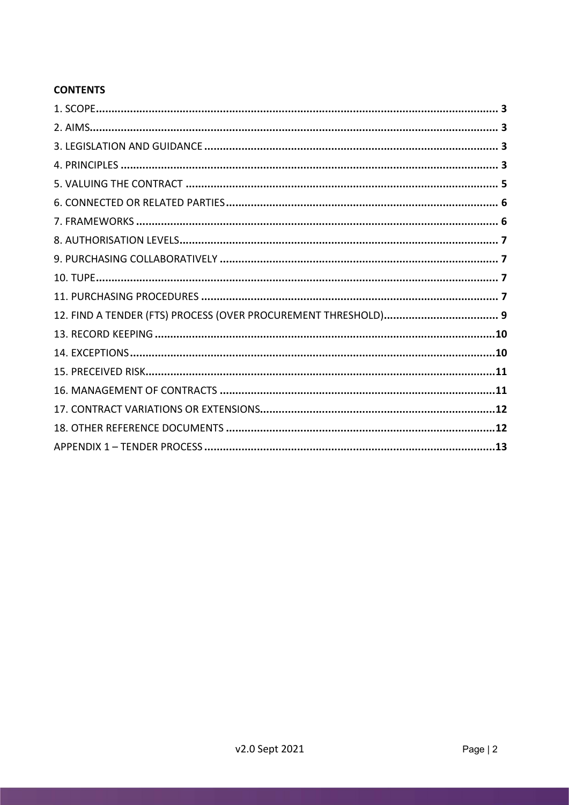# **CONTENTS**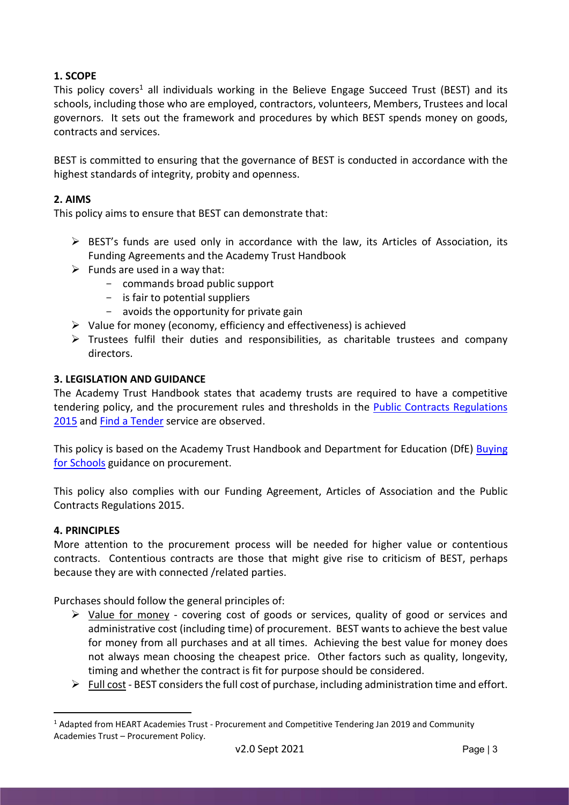# 1. SCOPE

This policy covers<sup>1</sup> all individuals working in the Believe Engage Succeed Trust (BEST) and its schools, including those who are employed, contractors, volunteers, Members, Trustees and local governors. It sets out the framework and procedures by which BEST spends money on goods, contracts and services.

BEST is committed to ensuring that the governance of BEST is conducted in accordance with the highest standards of integrity, probity and openness.

# 2. AIMS

This policy aims to ensure that BEST can demonstrate that:

- $\triangleright$  BEST's funds are used only in accordance with the law, its Articles of Association, its Funding Agreements and the Academy Trust Handbook
- $\triangleright$  Funds are used in a way that:
	- commands broad public support
	- $-$  is fair to potential suppliers
	- $-$  avoids the opportunity for private gain
- $\triangleright$  Value for money (economy, efficiency and effectiveness) is achieved
- $\triangleright$  Trustees fulfil their duties and responsibilities, as charitable trustees and company directors.

# 3. LEGISLATION AND GUIDANCE

The Academy Trust Handbook states that academy trusts are required to have a competitive tendering policy, and the procurement rules and thresholds in the Public Contracts Regulations 2015 and Find a Tender service are observed.

This policy is based on the Academy Trust Handbook and Department for Education (DfE) Buying for Schools guidance on procurement.

This policy also complies with our Funding Agreement, Articles of Association and the Public Contracts Regulations 2015.

# 4. PRINCIPLES

More attention to the procurement process will be needed for higher value or contentious contracts. Contentious contracts are those that might give rise to criticism of BEST, perhaps because they are with connected /related parties.

Purchases should follow the general principles of:

- $\triangleright$  Value for money covering cost of goods or services, quality of good or services and administrative cost (including time) of procurement. BEST wants to achieve the best value for money from all purchases and at all times. Achieving the best value for money does not always mean choosing the cheapest price. Other factors such as quality, longevity, timing and whether the contract is fit for purpose should be considered.
- $\triangleright$  Full cost BEST considers the full cost of purchase, including administration time and effort.

<sup>&</sup>lt;sup>1</sup> Adapted from HEART Academies Trust - Procurement and Competitive Tendering Jan 2019 and Community Academies Trust – Procurement Policy.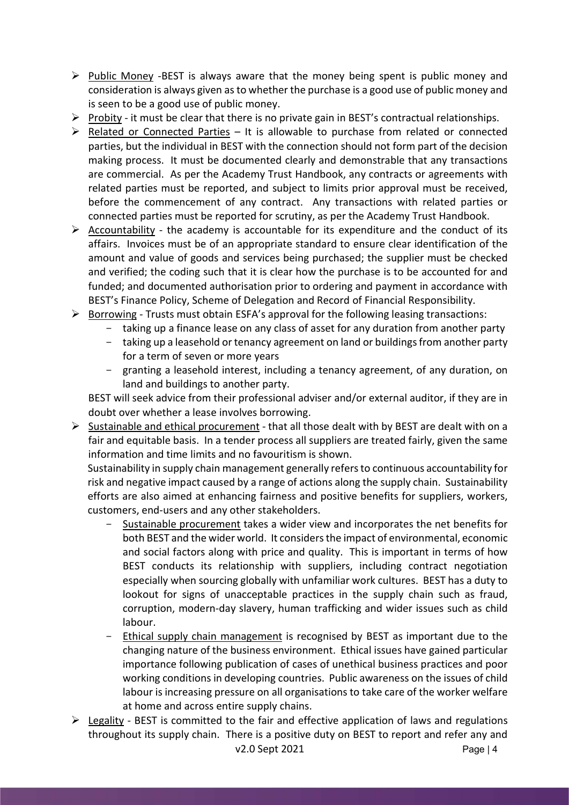- $\triangleright$  Public Money -BEST is always aware that the money being spent is public money and consideration is always given as to whether the purchase is a good use of public money and is seen to be a good use of public money.
- $\triangleright$  Probity it must be clear that there is no private gain in BEST's contractual relationships.
- $\triangleright$  Related or Connected Parties It is allowable to purchase from related or connected parties, but the individual in BEST with the connection should not form part of the decision making process. It must be documented clearly and demonstrable that any transactions are commercial. As per the Academy Trust Handbook, any contracts or agreements with related parties must be reported, and subject to limits prior approval must be received, before the commencement of any contract. Any transactions with related parties or connected parties must be reported for scrutiny, as per the Academy Trust Handbook.
- $\triangleright$  Accountability the academy is accountable for its expenditure and the conduct of its affairs. Invoices must be of an appropriate standard to ensure clear identification of the amount and value of goods and services being purchased; the supplier must be checked and verified; the coding such that it is clear how the purchase is to be accounted for and funded; and documented authorisation prior to ordering and payment in accordance with BEST's Finance Policy, Scheme of Delegation and Record of Financial Responsibility.
- $\triangleright$  Borrowing Trusts must obtain ESFA's approval for the following leasing transactions:
	- taking up a finance lease on any class of asset for any duration from another party
	- taking up a leasehold or tenancy agreement on land or buildings from another party for a term of seven or more years
	- granting a leasehold interest, including a tenancy agreement, of any duration, on land and buildings to another party.

BEST will seek advice from their professional adviser and/or external auditor, if they are in doubt over whether a lease involves borrowing.

 $\triangleright$  Sustainable and ethical procurement - that all those dealt with by BEST are dealt with on a fair and equitable basis. In a tender process all suppliers are treated fairly, given the same information and time limits and no favouritism is shown.

Sustainability in supply chain management generally refers to continuous accountability for risk and negative impact caused by a range of actions along the supply chain. Sustainability efforts are also aimed at enhancing fairness and positive benefits for suppliers, workers, customers, end-users and any other stakeholders.

- Sustainable procurement takes a wider view and incorporates the net benefits for both BEST and the wider world. It considers the impact of environmental, economic and social factors along with price and quality. This is important in terms of how BEST conducts its relationship with suppliers, including contract negotiation especially when sourcing globally with unfamiliar work cultures. BEST has a duty to lookout for signs of unacceptable practices in the supply chain such as fraud, corruption, modern-day slavery, human trafficking and wider issues such as child labour.
- Ethical supply chain management is recognised by BEST as important due to the changing nature of the business environment. Ethical issues have gained particular importance following publication of cases of unethical business practices and poor working conditions in developing countries. Public awareness on the issues of child labour is increasing pressure on all organisations to take care of the worker welfare at home and across entire supply chains.
- v2.0 Sept 2021 Page | 4  $\triangleright$  Legality - BEST is committed to the fair and effective application of laws and regulations throughout its supply chain. There is a positive duty on BEST to report and refer any and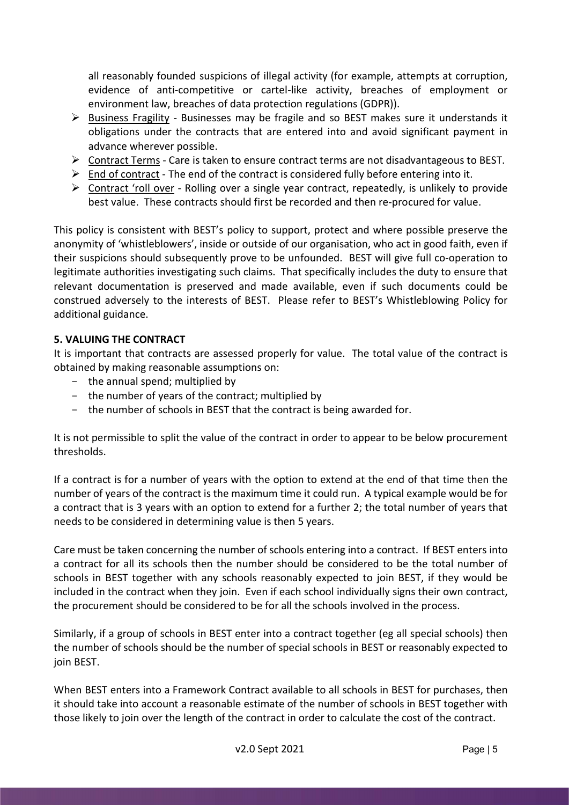all reasonably founded suspicions of illegal activity (for example, attempts at corruption, evidence of anti-competitive or cartel-like activity, breaches of employment or environment law, breaches of data protection regulations (GDPR)).

- $\triangleright$  Business Fragility Businesses may be fragile and so BEST makes sure it understands it obligations under the contracts that are entered into and avoid significant payment in advance wherever possible.
- $\triangleright$  Contract Terms Care is taken to ensure contract terms are not disadvantageous to BEST.
- $\triangleright$  End of contract The end of the contract is considered fully before entering into it.
- $\triangleright$  Contract 'roll over Rolling over a single year contract, repeatedly, is unlikely to provide best value. These contracts should first be recorded and then re-procured for value.

This policy is consistent with BEST's policy to support, protect and where possible preserve the anonymity of 'whistleblowers', inside or outside of our organisation, who act in good faith, even if their suspicions should subsequently prove to be unfounded. BEST will give full co-operation to legitimate authorities investigating such claims. That specifically includes the duty to ensure that relevant documentation is preserved and made available, even if such documents could be construed adversely to the interests of BEST. Please refer to BEST's Whistleblowing Policy for additional guidance.

# 5. VALUING THE CONTRACT

It is important that contracts are assessed properly for value. The total value of the contract is obtained by making reasonable assumptions on:

- $-$  the annual spend; multiplied by
- the number of years of the contract; multiplied by
- the number of schools in BEST that the contract is being awarded for.

It is not permissible to split the value of the contract in order to appear to be below procurement thresholds.

If a contract is for a number of years with the option to extend at the end of that time then the number of years of the contract is the maximum time it could run. A typical example would be for a contract that is 3 years with an option to extend for a further 2; the total number of years that needs to be considered in determining value is then 5 years.

Care must be taken concerning the number of schools entering into a contract. If BEST enters into a contract for all its schools then the number should be considered to be the total number of schools in BEST together with any schools reasonably expected to join BEST, if they would be included in the contract when they join. Even if each school individually signs their own contract, the procurement should be considered to be for all the schools involved in the process.

Similarly, if a group of schools in BEST enter into a contract together (eg all special schools) then the number of schools should be the number of special schools in BEST or reasonably expected to join BEST.

When BEST enters into a Framework Contract available to all schools in BEST for purchases, then it should take into account a reasonable estimate of the number of schools in BEST together with those likely to join over the length of the contract in order to calculate the cost of the contract.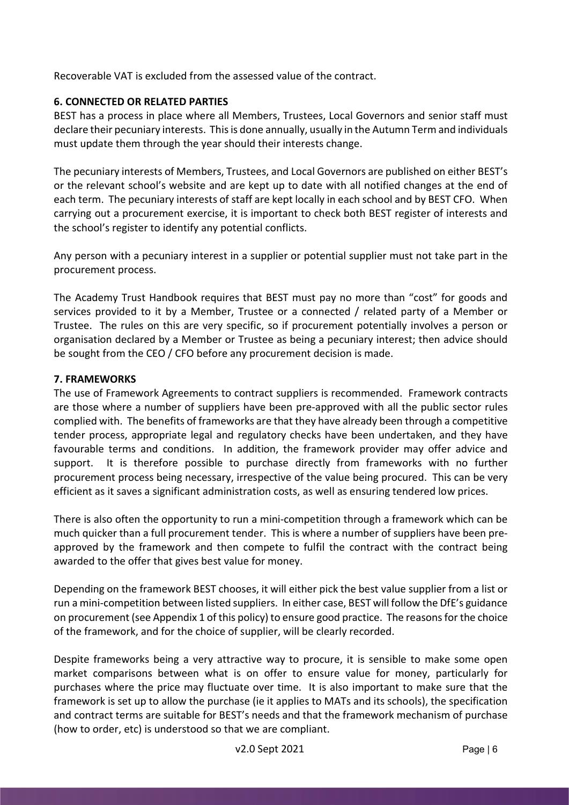Recoverable VAT is excluded from the assessed value of the contract.

# 6. CONNECTED OR RELATED PARTIES

BEST has a process in place where all Members, Trustees, Local Governors and senior staff must declare their pecuniary interests. This is done annually, usually in the Autumn Term and individuals must update them through the year should their interests change.

The pecuniary interests of Members, Trustees, and Local Governors are published on either BEST's or the relevant school's website and are kept up to date with all notified changes at the end of each term. The pecuniary interests of staff are kept locally in each school and by BEST CFO. When carrying out a procurement exercise, it is important to check both BEST register of interests and the school's register to identify any potential conflicts.

Any person with a pecuniary interest in a supplier or potential supplier must not take part in the procurement process.

The Academy Trust Handbook requires that BEST must pay no more than "cost" for goods and services provided to it by a Member, Trustee or a connected / related party of a Member or Trustee. The rules on this are very specific, so if procurement potentially involves a person or organisation declared by a Member or Trustee as being a pecuniary interest; then advice should be sought from the CEO / CFO before any procurement decision is made.

# 7. FRAMEWORKS

The use of Framework Agreements to contract suppliers is recommended. Framework contracts are those where a number of suppliers have been pre-approved with all the public sector rules complied with. The benefits of frameworks are that they have already been through a competitive tender process, appropriate legal and regulatory checks have been undertaken, and they have favourable terms and conditions. In addition, the framework provider may offer advice and support. It is therefore possible to purchase directly from frameworks with no further procurement process being necessary, irrespective of the value being procured. This can be very efficient as it saves a significant administration costs, as well as ensuring tendered low prices.

There is also often the opportunity to run a mini-competition through a framework which can be much quicker than a full procurement tender. This is where a number of suppliers have been preapproved by the framework and then compete to fulfil the contract with the contract being awarded to the offer that gives best value for money.

Depending on the framework BEST chooses, it will either pick the best value supplier from a list or run a mini-competition between listed suppliers. In either case, BEST will follow the DfE's guidance on procurement (see Appendix 1 of this policy) to ensure good practice. The reasons for the choice of the framework, and for the choice of supplier, will be clearly recorded.

Despite frameworks being a very attractive way to procure, it is sensible to make some open market comparisons between what is on offer to ensure value for money, particularly for purchases where the price may fluctuate over time. It is also important to make sure that the framework is set up to allow the purchase (ie it applies to MATs and its schools), the specification and contract terms are suitable for BEST's needs and that the framework mechanism of purchase (how to order, etc) is understood so that we are compliant.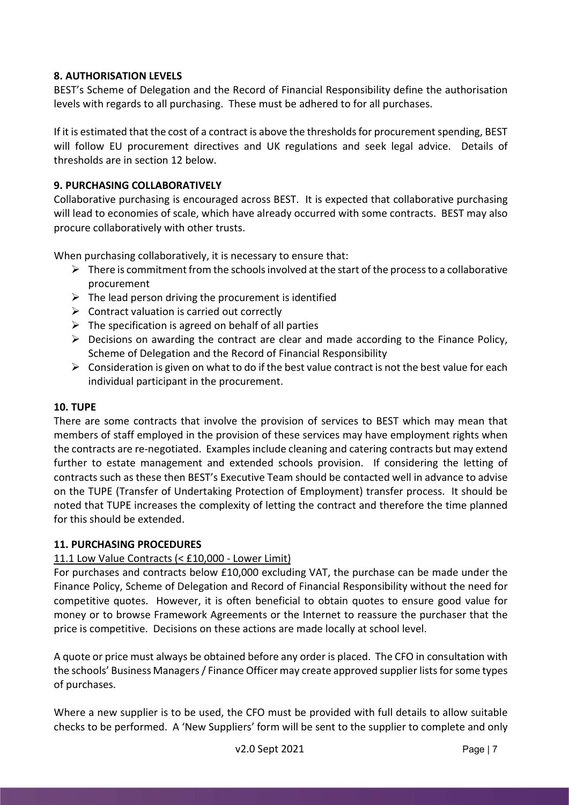# 8. AUTHORISATION LEVELS

BEST's Scheme of Delegation and the Record of Financial Responsibility define the authorisation levels with regards to all purchasing. These must be adhered to for all purchases.

If it is estimated that the cost of a contract is above the thresholds for procurement spending, BEST will follow EU procurement directives and UK regulations and seek legal advice. Details of thresholds are in section 12 below.

# 9. PURCHASING COLLABORATIVELY

Collaborative purchasing is encouraged across BEST. It is expected that collaborative purchasing will lead to economies of scale, which have already occurred with some contracts. BEST may also procure collaboratively with other trusts.

When purchasing collaboratively, it is necessary to ensure that:

- $\triangleright$  There is commitment from the schools involved at the start of the process to a collaborative procurement
- $\triangleright$  The lead person driving the procurement is identified
- $\triangleright$  Contract valuation is carried out correctly
- $\triangleright$  The specification is agreed on behalf of all parties
- $\triangleright$  Decisions on awarding the contract are clear and made according to the Finance Policy, Scheme of Delegation and the Record of Financial Responsibility
- $\triangleright$  Consideration is given on what to do if the best value contract is not the best value for each individual participant in the procurement.

# 10. TUPE

There are some contracts that involve the provision of services to BEST which may mean that members of staff employed in the provision of these services may have employment rights when the contracts are re-negotiated. Examples include cleaning and catering contracts but may extend further to estate management and extended schools provision. If considering the letting of contracts such as these then BEST's Executive Team should be contacted well in advance to advise on the TUPE (Transfer of Undertaking Protection of Employment) transfer process. It should be noted that TUPE increases the complexity of letting the contract and therefore the time planned for this should be extended.

# 11. PURCHASING PROCEDURES

# 11.1 Low Value Contracts (< £10,000 - Lower Limit)

For purchases and contracts below £10,000 excluding VAT, the purchase can be made under the Finance Policy, Scheme of Delegation and Record of Financial Responsibility without the need for competitive quotes. However, it is often beneficial to obtain quotes to ensure good value for money or to browse Framework Agreements or the Internet to reassure the purchaser that the price is competitive. Decisions on these actions are made locally at school level.

A quote or price must always be obtained before any order is placed. The CFO in consultation with the schools' Business Managers / Finance Officer may create approved supplier lists for some types of purchases.

Where a new supplier is to be used, the CFO must be provided with full details to allow suitable checks to be performed. A 'New Suppliers' form will be sent to the supplier to complete and only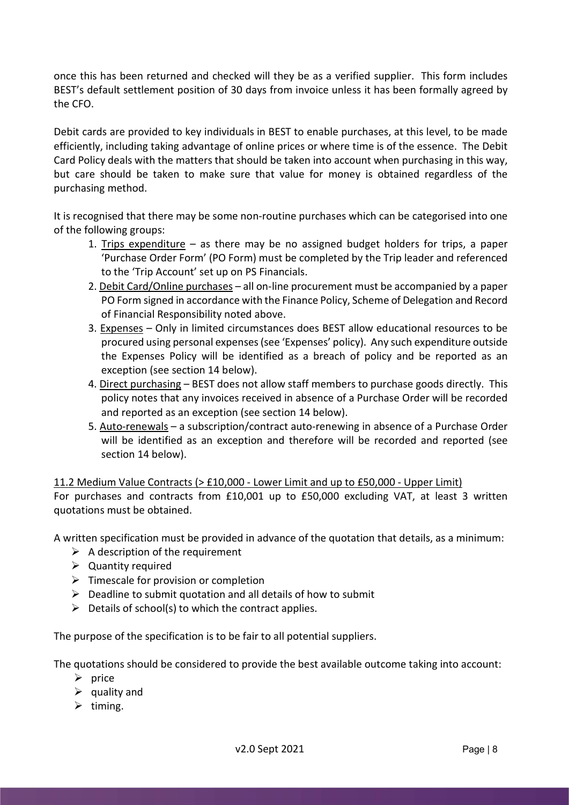once this has been returned and checked will they be as a verified supplier. This form includes BEST's default settlement position of 30 days from invoice unless it has been formally agreed by the CFO.

Debit cards are provided to key individuals in BEST to enable purchases, at this level, to be made efficiently, including taking advantage of online prices or where time is of the essence. The Debit Card Policy deals with the matters that should be taken into account when purchasing in this way, but care should be taken to make sure that value for money is obtained regardless of the purchasing method.

It is recognised that there may be some non-routine purchases which can be categorised into one of the following groups:

- 1. Trips expenditure as there may be no assigned budget holders for trips, a paper 'Purchase Order Form' (PO Form) must be completed by the Trip leader and referenced to the 'Trip Account' set up on PS Financials.
- 2. Debit Card/Online purchases all on-line procurement must be accompanied by a paper PO Form signed in accordance with the Finance Policy, Scheme of Delegation and Record of Financial Responsibility noted above.
- 3. Expenses Only in limited circumstances does BEST allow educational resources to be procured using personal expenses (see 'Expenses' policy). Any such expenditure outside the Expenses Policy will be identified as a breach of policy and be reported as an exception (see section 14 below).
- 4. Direct purchasing BEST does not allow staff members to purchase goods directly. This policy notes that any invoices received in absence of a Purchase Order will be recorded and reported as an exception (see section 14 below).
- 5. Auto-renewals a subscription/contract auto-renewing in absence of a Purchase Order will be identified as an exception and therefore will be recorded and reported (see section 14 below).

11.2 Medium Value Contracts (> £10,000 - Lower Limit and up to £50,000 - Upper Limit)

For purchases and contracts from £10,001 up to £50,000 excluding VAT, at least 3 written quotations must be obtained.

A written specification must be provided in advance of the quotation that details, as a minimum:

- $\triangleright$  A description of the requirement
- $\triangleright$  Quantity required
- $\triangleright$  Timescale for provision or completion
- $\triangleright$  Deadline to submit quotation and all details of how to submit
- $\triangleright$  Details of school(s) to which the contract applies.

The purpose of the specification is to be fair to all potential suppliers.

The quotations should be considered to provide the best available outcome taking into account:

- $\triangleright$  price
- $\triangleright$  quality and
- $\triangleright$  timing.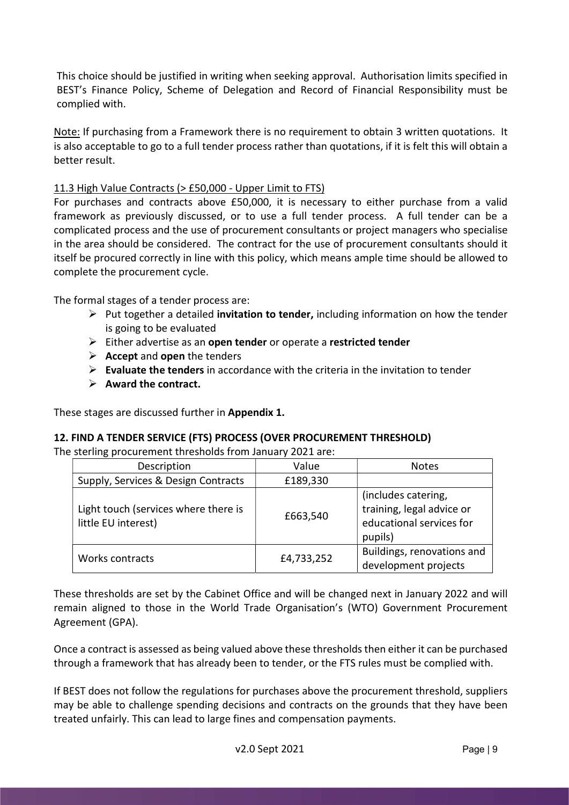This choice should be justified in writing when seeking approval. Authorisation limits specified in BEST's Finance Policy, Scheme of Delegation and Record of Financial Responsibility must be complied with.

Note: If purchasing from a Framework there is no requirement to obtain 3 written quotations. It is also acceptable to go to a full tender process rather than quotations, if it is felt this will obtain a better result.

# 11.3 High Value Contracts (> £50,000 - Upper Limit to FTS)

For purchases and contracts above £50,000, it is necessary to either purchase from a valid framework as previously discussed, or to use a full tender process. A full tender can be a complicated process and the use of procurement consultants or project managers who specialise in the area should be considered. The contract for the use of procurement consultants should it itself be procured correctly in line with this policy, which means ample time should be allowed to complete the procurement cycle.

The formal stages of a tender process are:

- $\triangleright$  Put together a detailed **invitation to tender,** including information on how the tender is going to be evaluated
- $\triangleright$  Either advertise as an open tender or operate a restricted tender
- $\triangleright$  Accept and open the tenders
- $\triangleright$  Evaluate the tenders in accordance with the criteria in the invitation to tender
- $\triangleright$  Award the contract.

These stages are discussed further in Appendix 1.

# 12. FIND A TENDER SERVICE (FTS) PROCESS (OVER PROCUREMENT THRESHOLD)

The sterling procurement thresholds from January 2021 are:

| Description                                                 | Value      | <b>Notes</b>                                                                            |
|-------------------------------------------------------------|------------|-----------------------------------------------------------------------------------------|
| Supply, Services & Design Contracts                         | £189,330   |                                                                                         |
| Light touch (services where there is<br>little EU interest) | £663,540   | (includes catering,<br>training, legal advice or<br>educational services for<br>pupils) |
| Works contracts                                             | £4,733,252 | Buildings, renovations and<br>development projects                                      |

These thresholds are set by the Cabinet Office and will be changed next in January 2022 and will remain aligned to those in the World Trade Organisation's (WTO) Government Procurement Agreement (GPA).

Once a contract is assessed as being valued above these thresholds then either it can be purchased through a framework that has already been to tender, or the FTS rules must be complied with.

If BEST does not follow the regulations for purchases above the procurement threshold, suppliers may be able to challenge spending decisions and contracts on the grounds that they have been treated unfairly. This can lead to large fines and compensation payments.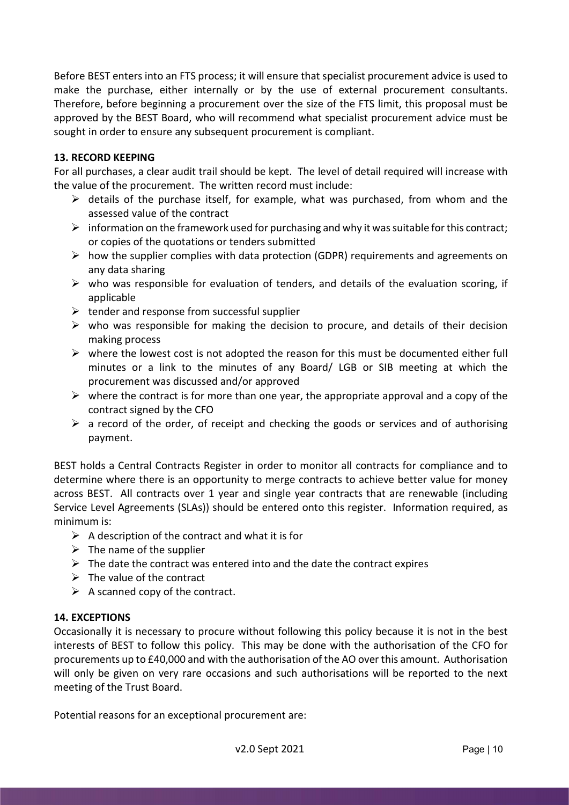Before BEST enters into an FTS process; it will ensure that specialist procurement advice is used to make the purchase, either internally or by the use of external procurement consultants. Therefore, before beginning a procurement over the size of the FTS limit, this proposal must be approved by the BEST Board, who will recommend what specialist procurement advice must be sought in order to ensure any subsequent procurement is compliant.

# 13. RECORD KEEPING

For all purchases, a clear audit trail should be kept. The level of detail required will increase with the value of the procurement. The written record must include:

- $\triangleright$  details of the purchase itself, for example, what was purchased, from whom and the assessed value of the contract
- $\triangleright$  information on the framework used for purchasing and why it was suitable for this contract; or copies of the quotations or tenders submitted
- $\triangleright$  how the supplier complies with data protection (GDPR) requirements and agreements on any data sharing
- $\triangleright$  who was responsible for evaluation of tenders, and details of the evaluation scoring, if applicable
- $\triangleright$  tender and response from successful supplier
- $\triangleright$  who was responsible for making the decision to procure, and details of their decision making process
- $\triangleright$  where the lowest cost is not adopted the reason for this must be documented either full minutes or a link to the minutes of any Board/ LGB or SIB meeting at which the procurement was discussed and/or approved
- $\triangleright$  where the contract is for more than one year, the appropriate approval and a copy of the contract signed by the CFO
- $\triangleright$  a record of the order, of receipt and checking the goods or services and of authorising payment.

BEST holds a Central Contracts Register in order to monitor all contracts for compliance and to determine where there is an opportunity to merge contracts to achieve better value for money across BEST. All contracts over 1 year and single year contracts that are renewable (including Service Level Agreements (SLAs)) should be entered onto this register. Information required, as minimum is:

- $\triangleright$  A description of the contract and what it is for
- $\triangleright$  The name of the supplier
- $\triangleright$  The date the contract was entered into and the date the contract expires
- $\triangleright$  The value of the contract
- $\triangleright$  A scanned copy of the contract.

# 14. EXCEPTIONS

Occasionally it is necessary to procure without following this policy because it is not in the best interests of BEST to follow this policy. This may be done with the authorisation of the CFO for procurements up to £40,000 and with the authorisation of the AO over this amount. Authorisation will only be given on very rare occasions and such authorisations will be reported to the next meeting of the Trust Board.

Potential reasons for an exceptional procurement are: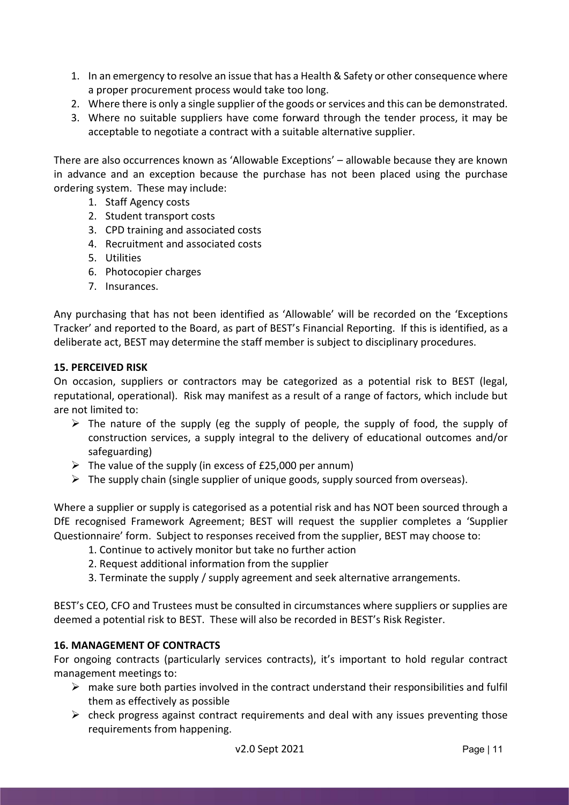- 1. In an emergency to resolve an issue that has a Health & Safety or other consequence where a proper procurement process would take too long.
- 2. Where there is only a single supplier of the goods or services and this can be demonstrated.
- 3. Where no suitable suppliers have come forward through the tender process, it may be acceptable to negotiate a contract with a suitable alternative supplier.

There are also occurrences known as 'Allowable Exceptions' – allowable because they are known in advance and an exception because the purchase has not been placed using the purchase ordering system. These may include:

- 1. Staff Agency costs
- 2. Student transport costs
- 3. CPD training and associated costs
- 4. Recruitment and associated costs
- 5. Utilities
- 6. Photocopier charges
- 7. Insurances.

Any purchasing that has not been identified as 'Allowable' will be recorded on the 'Exceptions Tracker' and reported to the Board, as part of BEST's Financial Reporting. If this is identified, as a deliberate act, BEST may determine the staff member is subject to disciplinary procedures.

# 15. PERCEIVED RISK

On occasion, suppliers or contractors may be categorized as a potential risk to BEST (legal, reputational, operational). Risk may manifest as a result of a range of factors, which include but are not limited to:

- $\triangleright$  The nature of the supply (eg the supply of people, the supply of food, the supply of construction services, a supply integral to the delivery of educational outcomes and/or safeguarding)
- $\triangleright$  The value of the supply (in excess of £25,000 per annum)
- $\triangleright$  The supply chain (single supplier of unique goods, supply sourced from overseas).

Where a supplier or supply is categorised as a potential risk and has NOT been sourced through a DfE recognised Framework Agreement; BEST will request the supplier completes a 'Supplier Questionnaire' form. Subject to responses received from the supplier, BEST may choose to:

- 1. Continue to actively monitor but take no further action
- 2. Request additional information from the supplier
- 3. Terminate the supply / supply agreement and seek alternative arrangements.

BEST's CEO, CFO and Trustees must be consulted in circumstances where suppliers or supplies are deemed a potential risk to BEST. These will also be recorded in BEST's Risk Register.

# 16. MANAGEMENT OF CONTRACTS

For ongoing contracts (particularly services contracts), it's important to hold regular contract management meetings to:

- $\triangleright$  make sure both parties involved in the contract understand their responsibilities and fulfil them as effectively as possible
- $\triangleright$  check progress against contract requirements and deal with any issues preventing those requirements from happening.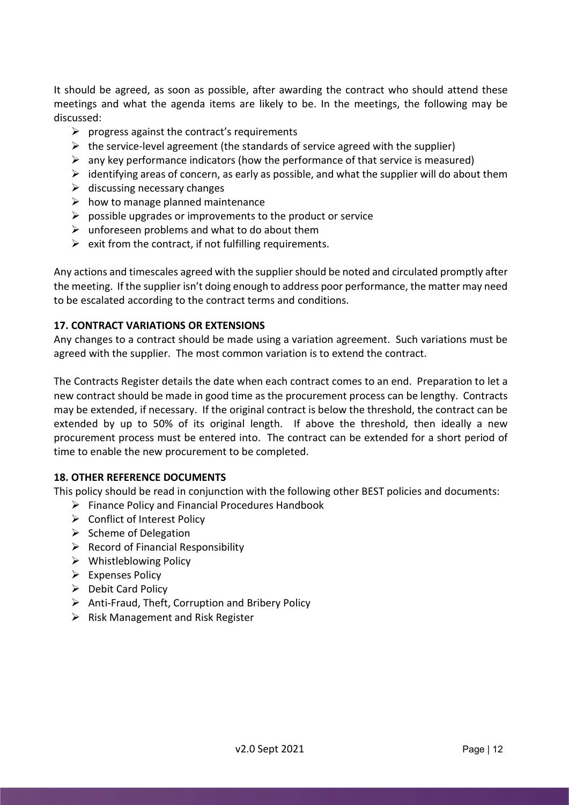It should be agreed, as soon as possible, after awarding the contract who should attend these meetings and what the agenda items are likely to be. In the meetings, the following may be discussed:

- $\triangleright$  progress against the contract's requirements
- $\triangleright$  the service-level agreement (the standards of service agreed with the supplier)
- $\triangleright$  any key performance indicators (how the performance of that service is measured)
- $\triangleright$  identifying areas of concern, as early as possible, and what the supplier will do about them
- $\triangleright$  discussing necessary changes
- $\triangleright$  how to manage planned maintenance
- $\triangleright$  possible upgrades or improvements to the product or service
- $\triangleright$  unforeseen problems and what to do about them
- $\triangleright$  exit from the contract, if not fulfilling requirements.

Any actions and timescales agreed with the supplier should be noted and circulated promptly after the meeting. If the supplier isn't doing enough to address poor performance, the matter may need to be escalated according to the contract terms and conditions.

# 17. CONTRACT VARIATIONS OR EXTENSIONS

Any changes to a contract should be made using a variation agreement. Such variations must be agreed with the supplier. The most common variation is to extend the contract.

The Contracts Register details the date when each contract comes to an end. Preparation to let a new contract should be made in good time as the procurement process can be lengthy. Contracts may be extended, if necessary. If the original contract is below the threshold, the contract can be extended by up to 50% of its original length. If above the threshold, then ideally a new procurement process must be entered into. The contract can be extended for a short period of time to enable the new procurement to be completed.

# 18. OTHER REFERENCE DOCUMENTS

This policy should be read in conjunction with the following other BEST policies and documents:

- $\triangleright$  Finance Policy and Financial Procedures Handbook
- ▶ Conflict of Interest Policy
- $\triangleright$  Scheme of Delegation
- $\triangleright$  Record of Financial Responsibility
- $\triangleright$  Whistleblowing Policy
- $\triangleright$  Expenses Policy
- $\triangleright$  Debit Card Policy
- $\triangleright$  Anti-Fraud, Theft, Corruption and Bribery Policy
- $\triangleright$  Risk Management and Risk Register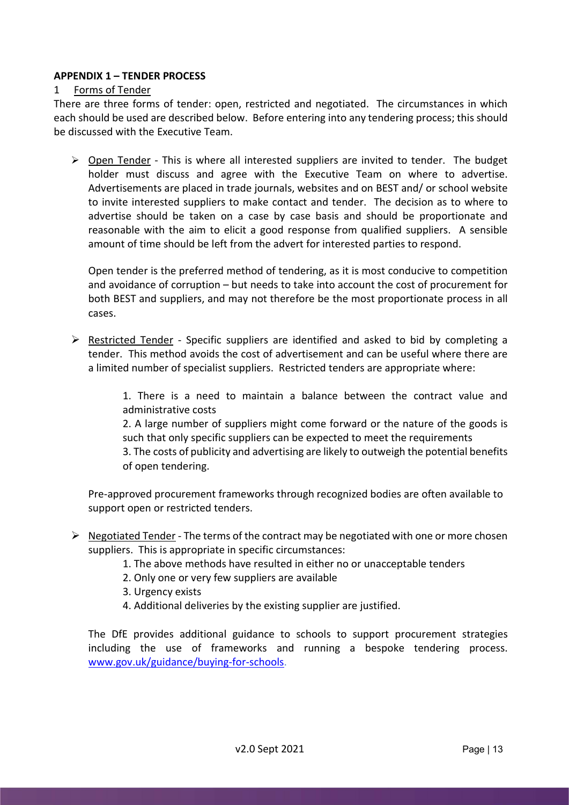# APPENDIX 1 – TENDER PROCESS

# 1 Forms of Tender

There are three forms of tender: open, restricted and negotiated. The circumstances in which each should be used are described below. Before entering into any tendering process; this should be discussed with the Executive Team.

 $\triangleright$  Open Tender - This is where all interested suppliers are invited to tender. The budget holder must discuss and agree with the Executive Team on where to advertise. Advertisements are placed in trade journals, websites and on BEST and/ or school website to invite interested suppliers to make contact and tender. The decision as to where to advertise should be taken on a case by case basis and should be proportionate and reasonable with the aim to elicit a good response from qualified suppliers. A sensible amount of time should be left from the advert for interested parties to respond.

Open tender is the preferred method of tendering, as it is most conducive to competition and avoidance of corruption – but needs to take into account the cost of procurement for both BEST and suppliers, and may not therefore be the most proportionate process in all cases.

 $\triangleright$  Restricted Tender - Specific suppliers are identified and asked to bid by completing a tender. This method avoids the cost of advertisement and can be useful where there are a limited number of specialist suppliers. Restricted tenders are appropriate where:

> 1. There is a need to maintain a balance between the contract value and administrative costs

> 2. A large number of suppliers might come forward or the nature of the goods is such that only specific suppliers can be expected to meet the requirements 3. The costs of publicity and advertising are likely to outweigh the potential benefits of open tendering.

Pre-approved procurement frameworks through recognized bodies are often available to support open or restricted tenders.

- $\triangleright$  Negotiated Tender The terms of the contract may be negotiated with one or more chosen suppliers. This is appropriate in specific circumstances:
	- 1. The above methods have resulted in either no or unacceptable tenders
	- 2. Only one or very few suppliers are available
	- 3. Urgency exists
	- 4. Additional deliveries by the existing supplier are justified.

The DfE provides additional guidance to schools to support procurement strategies including the use of frameworks and running a bespoke tendering process. www.gov.uk/guidance/buying-for-schools.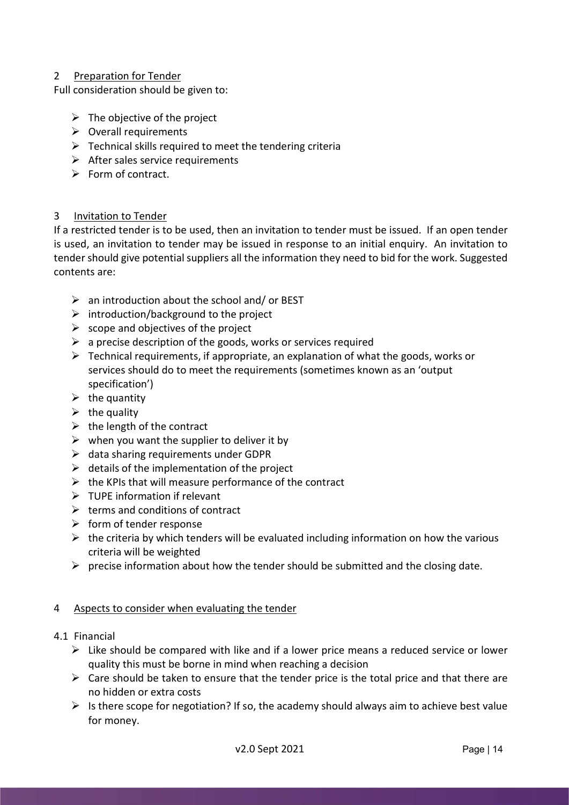# 2 Preparation for Tender

Full consideration should be given to:

- $\triangleright$  The objective of the project
- $\triangleright$  Overall requirements
- $\triangleright$  Technical skills required to meet the tendering criteria
- $\triangleright$  After sales service requirements
- $\triangleright$  Form of contract.

# 3 Invitation to Tender

If a restricted tender is to be used, then an invitation to tender must be issued. If an open tender is used, an invitation to tender may be issued in response to an initial enquiry. An invitation to tender should give potential suppliers all the information they need to bid for the work. Suggested contents are:

- $\triangleright$  an introduction about the school and/ or BEST
- $\triangleright$  introduction/background to the project
- $\triangleright$  scope and objectives of the project
- $\triangleright$  a precise description of the goods, works or services required
- $\triangleright$  Technical requirements, if appropriate, an explanation of what the goods, works or services should do to meet the requirements (sometimes known as an 'output specification')
- $\triangleright$  the quantity
- $\triangleright$  the quality
- $\triangleright$  the length of the contract
- $\triangleright$  when you want the supplier to deliver it by
- $\triangleright$  data sharing requirements under GDPR
- $\triangleright$  details of the implementation of the project
- $\triangleright$  the KPIs that will measure performance of the contract
- $\triangleright$  TUPE information if relevant
- $\triangleright$  terms and conditions of contract
- $\triangleright$  form of tender response
- $\triangleright$  the criteria by which tenders will be evaluated including information on how the various criteria will be weighted
- $\triangleright$  precise information about how the tender should be submitted and the closing date.

# 4 Aspects to consider when evaluating the tender

- 4.1 Financial
	- $\triangleright$  Like should be compared with like and if a lower price means a reduced service or lower quality this must be borne in mind when reaching a decision
	- $\triangleright$  Care should be taken to ensure that the tender price is the total price and that there are no hidden or extra costs
	- $\triangleright$  Is there scope for negotiation? If so, the academy should always aim to achieve best value for money.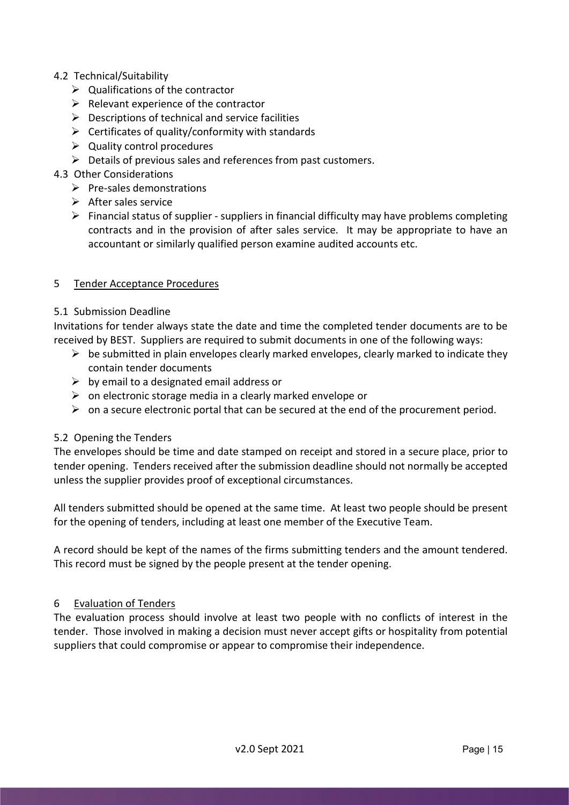# 4.2 Technical/Suitability

- $\triangleright$  Qualifications of the contractor
- $\triangleright$  Relevant experience of the contractor
- $\triangleright$  Descriptions of technical and service facilities
- $\triangleright$  Certificates of quality/conformity with standards
- $\triangleright$  Quality control procedures
- $\triangleright$  Details of previous sales and references from past customers.

# 4.3 Other Considerations

- $\triangleright$  Pre-sales demonstrations
- $\triangleright$  After sales service
- $\triangleright$  Financial status of supplier suppliers in financial difficulty may have problems completing contracts and in the provision of after sales service. It may be appropriate to have an accountant or similarly qualified person examine audited accounts etc.

# 5 Tender Acceptance Procedures

# 5.1 Submission Deadline

Invitations for tender always state the date and time the completed tender documents are to be received by BEST. Suppliers are required to submit documents in one of the following ways:

- $\triangleright$  be submitted in plain envelopes clearly marked envelopes, clearly marked to indicate they contain tender documents
- $\triangleright$  by email to a designated email address or
- $\triangleright$  on electronic storage media in a clearly marked envelope or
- $\triangleright$  on a secure electronic portal that can be secured at the end of the procurement period.

# 5.2 Opening the Tenders

The envelopes should be time and date stamped on receipt and stored in a secure place, prior to tender opening. Tenders received after the submission deadline should not normally be accepted unless the supplier provides proof of exceptional circumstances.

All tenders submitted should be opened at the same time. At least two people should be present for the opening of tenders, including at least one member of the Executive Team.

A record should be kept of the names of the firms submitting tenders and the amount tendered. This record must be signed by the people present at the tender opening.

# 6 Evaluation of Tenders

The evaluation process should involve at least two people with no conflicts of interest in the tender. Those involved in making a decision must never accept gifts or hospitality from potential suppliers that could compromise or appear to compromise their independence.